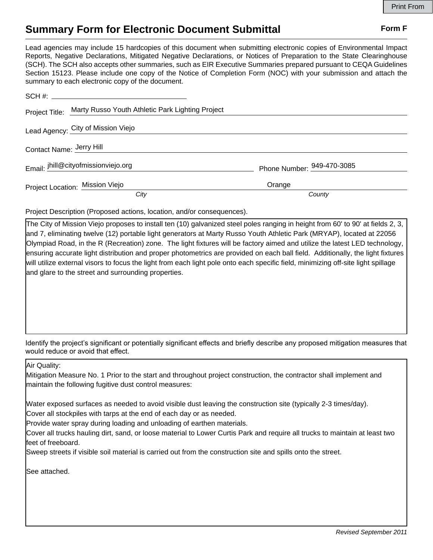## **Summary Form for Electronic Document Submittal Form F Form F**

Lead agencies may include 15 hardcopies of this document when submitting electronic copies of Environmental Impact Reports, Negative Declarations, Mitigated Negative Declarations, or Notices of Preparation to the State Clearinghouse (SCH). The SCH also accepts other summaries, such as EIR Executive Summaries prepared pursuant to CEQA Guidelines Section 15123. Please include one copy of the Notice of Completion Form (NOC) with your submission and attach the summary to each electronic copy of the document.

|                          | Project Title: Marty Russo Youth Athletic Park Lighting Project |                            |
|--------------------------|-----------------------------------------------------------------|----------------------------|
|                          | Lead Agency: City of Mission Viejo                              |                            |
| Contact Name: Jerry Hill |                                                                 |                            |
|                          | Email: jhill@cityofmissionviejo.org                             | Phone Number: 949-470-3085 |
|                          | Project Location: Mission Viejo                                 | Orange                     |
|                          | City                                                            | County                     |

Project Description (Proposed actions, location, and/or consequences).

The City of Mission Viejo proposes to install ten (10) galvanized steel poles ranging in height from 60' to 90' at fields 2, 3, and 7, eliminating twelve (12) portable light generators at Marty Russo Youth Athletic Park (MRYAP), located at 22056 Olympiad Road, in the R (Recreation) zone. The light fixtures will be factory aimed and utilize the latest LED technology, ensuring accurate light distribution and proper photometrics are provided on each ball field. Additionally, the light fixtures will utilize external visors to focus the light from each light pole onto each specific field, minimizing off-site light spillage and glare to the street and surrounding properties.

Identify the project's significant or potentially significant effects and briefly describe any proposed mitigation measures that would reduce or avoid that effect.

Air Quality:

 $\overline{\phantom{a}}$ 

Mitigation Measure No. 1 Prior to the start and throughout project construction, the contractor shall implement and maintain the following fugitive dust control measures:

Water exposed surfaces as needed to avoid visible dust leaving the construction site (typically 2-3 times/day).

Cover all stockpiles with tarps at the end of each day or as needed.

Provide water spray during loading and unloading of earthen materials.

Cover all trucks hauling dirt, sand, or loose material to Lower Curtis Park and require all trucks to maintain at least two feet of freeboard.

Sweep streets if visible soil material is carried out from the construction site and spills onto the street.

See attached.